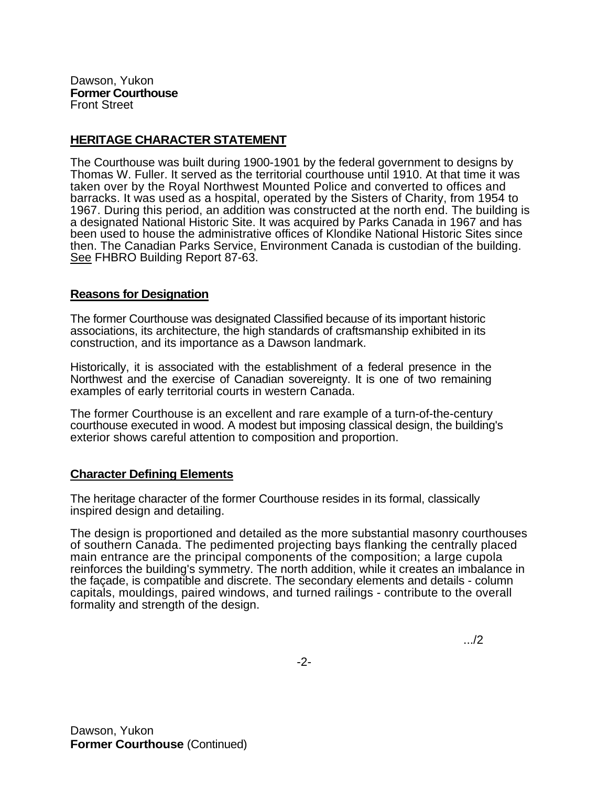Dawson, Yukon **Former Courthouse**  Front Street

## **HERITAGE CHARACTER STATEMENT**

The Courthouse was built during 1900-1901 by the federal government to designs by Thomas W. Fuller. It served as the territorial courthouse until 1910. At that time it was taken over by the Royal Northwest Mounted Police and converted to offices and barracks. It was used as a hospital, operated by the Sisters of Charity, from 1954 to 1967. During this period, an addition was constructed at the north end. The building is a designated National Historic Site. It was acquired by Parks Canada in 1967 and has been used to house the administrative offices of Klondike National Historic Sites since then. The Canadian Parks Service, Environment Canada is custodian of the building. See FHBRO Building Report 87-63.

## **Reasons for Designation**

The former Courthouse was designated Classified because of its important historic associations, its architecture, the high standards of craftsmanship exhibited in its construction, and its importance as a Dawson landmark.

Historically, it is associated with the establishment of a federal presence in the Northwest and the exercise of Canadian sovereignty. It is one of two remaining examples of early territorial courts in western Canada.

The former Courthouse is an excellent and rare example of a turn-of-the-century courthouse executed in wood. A modest but imposing classical design, the building's exterior shows careful attention to composition and proportion.

## **Character Defining Elements**

The heritage character of the former Courthouse resides in its formal, classically inspired design and detailing.

The design is proportioned and detailed as the more substantial masonry courthouses of southern Canada. The pedimented projecting bays flanking the centrally placed main entrance are the principal components of the composition; a large cupola reinforces the building's symmetry. The north addition, while it creates an imbalance in the façade, is compatible and discrete. The secondary elements and details - column capitals, mouldings, paired windows, and turned railings - contribute to the overall formality and strength of the design.

.../2